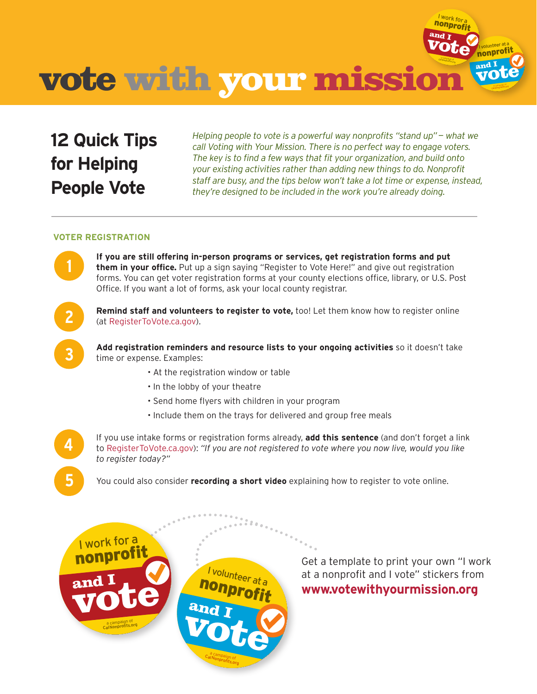

## **12 Quick Tips for Helping People Vote**

*Helping people to vote is a powerful way nonprofits "stand up"— what we call Voting with Your Mission. There is no perfect way to engage voters. The key is to find a few ways that fit your organization, and build onto your existing activities rather than adding new things to do. Nonprofit staff are busy, and the tips below won't take a lot time or expense, instead, they're designed to be included in the work you're already doing.*

## **VOTER REGISTRATION**

**If you are still offering in-person programs or services, get registration forms and put them in your office.** Put up a sign saying "Register to Vote Here!" and give out registration forms. You can get voter registration forms at your county elections office, library, or U.S. Post Office. If you want a lot of forms, ask your local county registrar.



**4**

**5**

**1**

**Remind staff and volunteers to register to vote,** too! Let them know how to register online (at [RegisterToVote.ca.gov](http://RegisterToVote.ca.gov)).

**Add registration reminders and resource lists to your ongoing activities** so it doesn't take time or expense. Examples:

- At the registration window or table
- In the lobby of your theatre
- Send home flyers with children in your program
- Include them on the trays for delivered and group free meals

If you use intake forms or registration forms already, **add this sentence** (and don't forget a link to [RegisterToVote.ca.gov](http://RegisterToVote.ca.gov)): *"If you are not registered to vote where you now live, would you like to register today?"*

You could also consider **recording a short video** explaining how to register to vote online.



Get a template to print your own "I work at a nonprofit and I vote" stickers from **[www.votewithyourmission.org](http://www.votewithyourmission.org)**